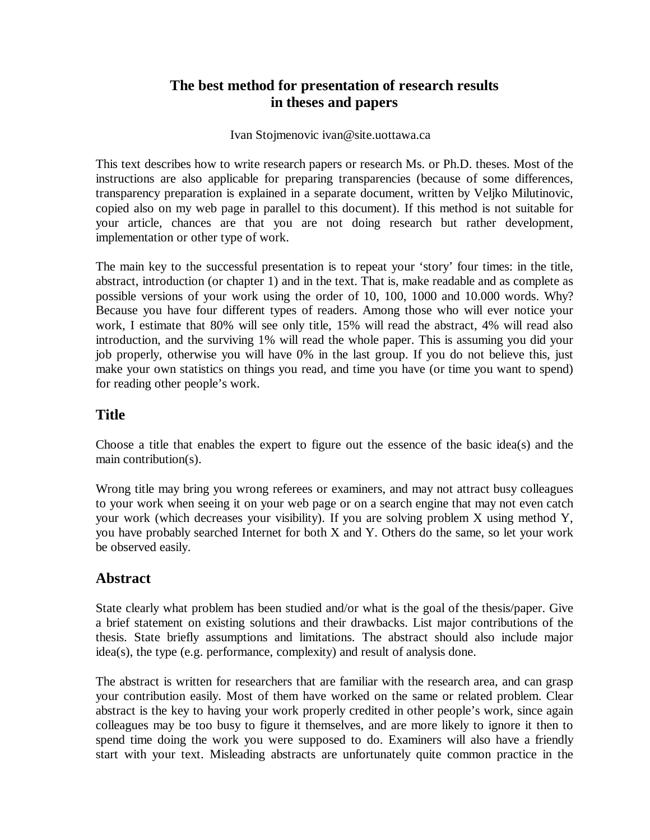# **The best method for presentation of research results in theses and papers**

#### Ivan Stojmenovic ivan@site.uottawa.ca

This text describes how to write research papers or research Ms. or Ph.D. theses. Most of the instructions are also applicable for preparing transparencies (because of some differences, transparency preparation is explained in a separate document, written by Veljko Milutinovic, copied also on my web page in parallel to this document). If this method is not suitable for your article, chances are that you are not doing research but rather development, implementation or other type of work.

The main key to the successful presentation is to repeat your 'story' four times: in the title, abstract, introduction (or chapter 1) and in the text. That is, make readable and as complete as possible versions of your work using the order of 10, 100, 1000 and 10.000 words. Why? Because you have four different types of readers. Among those who will ever notice your work, I estimate that 80% will see only title, 15% will read the abstract, 4% will read also introduction, and the surviving 1% will read the whole paper. This is assuming you did your job properly, otherwise you will have 0% in the last group. If you do not believe this, just make your own statistics on things you read, and time you have (or time you want to spend) for reading other people's work.

#### **Title**

Choose a title that enables the expert to figure out the essence of the basic idea(s) and the main contribution(s).

Wrong title may bring you wrong referees or examiners, and may not attract busy colleagues to your work when seeing it on your web page or on a search engine that may not even catch your work (which decreases your visibility). If you are solving problem X using method Y, you have probably searched Internet for both X and Y. Others do the same, so let your work be observed easily.

### **Abstract**

State clearly what problem has been studied and/or what is the goal of the thesis/paper. Give a brief statement on existing solutions and their drawbacks. List major contributions of the thesis. State briefly assumptions and limitations. The abstract should also include major idea(s), the type (e.g. performance, complexity) and result of analysis done.

The abstract is written for researchers that are familiar with the research area, and can grasp your contribution easily. Most of them have worked on the same or related problem. Clear abstract is the key to having your work properly credited in other people's work, since again colleagues may be too busy to figure it themselves, and are more likely to ignore it then to spend time doing the work you were supposed to do. Examiners will also have a friendly start with your text. Misleading abstracts are unfortunately quite common practice in the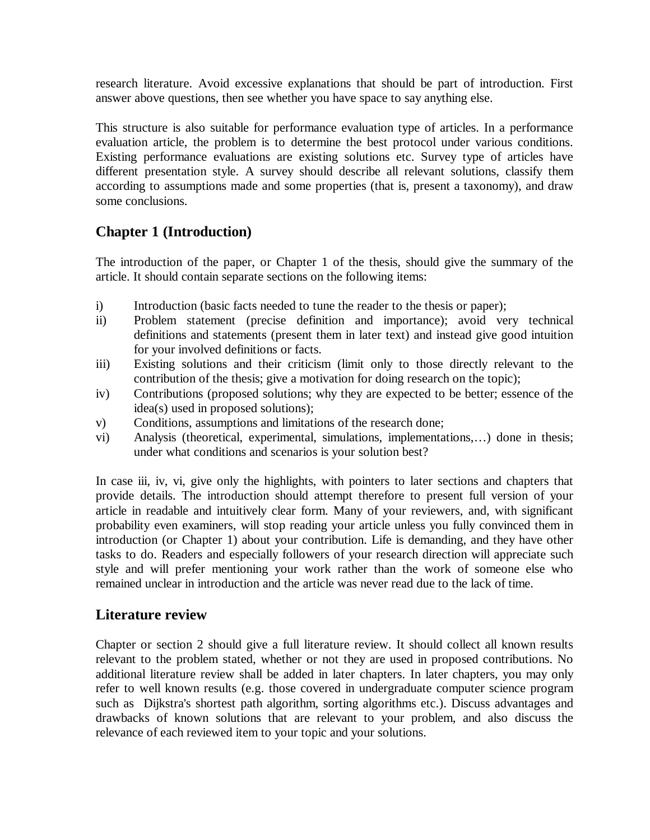research literature. Avoid excessive explanations that should be part of introduction. First answer above questions, then see whether you have space to say anything else.

This structure is also suitable for performance evaluation type of articles. In a performance evaluation article, the problem is to determine the best protocol under various conditions. Existing performance evaluations are existing solutions etc. Survey type of articles have different presentation style. A survey should describe all relevant solutions, classify them according to assumptions made and some properties (that is, present a taxonomy), and draw some conclusions.

# **Chapter 1 (Introduction)**

The introduction of the paper, or Chapter 1 of the thesis, should give the summary of the article. It should contain separate sections on the following items:

- i) Introduction (basic facts needed to tune the reader to the thesis or paper);
- ii) Problem statement (precise definition and importance); avoid very technical definitions and statements (present them in later text) and instead give good intuition for your involved definitions or facts.
- iii) Existing solutions and their criticism (limit only to those directly relevant to the contribution of the thesis; give a motivation for doing research on the topic);
- iv) Contributions (proposed solutions; why they are expected to be better; essence of the idea(s) used in proposed solutions);
- v) Conditions, assumptions and limitations of the research done;
- vi) Analysis (theoretical, experimental, simulations, implementations,…) done in thesis; under what conditions and scenarios is your solution best?

In case iii, iv, vi, give only the highlights, with pointers to later sections and chapters that provide details. The introduction should attempt therefore to present full version of your article in readable and intuitively clear form. Many of your reviewers, and, with significant probability even examiners, will stop reading your article unless you fully convinced them in introduction (or Chapter 1) about your contribution. Life is demanding, and they have other tasks to do. Readers and especially followers of your research direction will appreciate such style and will prefer mentioning your work rather than the work of someone else who remained unclear in introduction and the article was never read due to the lack of time.

### **Literature review**

Chapter or section 2 should give a full literature review. It should collect all known results relevant to the problem stated, whether or not they are used in proposed contributions. No additional literature review shall be added in later chapters. In later chapters, you may only refer to well known results (e.g. those covered in undergraduate computer science program such as Dijkstra's shortest path algorithm, sorting algorithms etc.). Discuss advantages and drawbacks of known solutions that are relevant to your problem, and also discuss the relevance of each reviewed item to your topic and your solutions.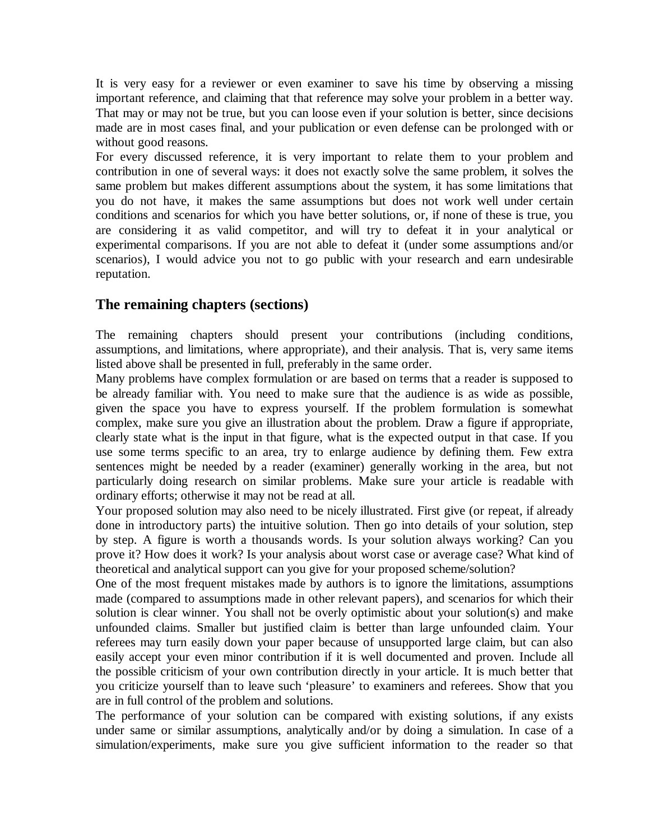It is very easy for a reviewer or even examiner to save his time by observing a missing important reference, and claiming that that reference may solve your problem in a better way. That may or may not be true, but you can loose even if your solution is better, since decisions made are in most cases final, and your publication or even defense can be prolonged with or without good reasons.

For every discussed reference, it is very important to relate them to your problem and contribution in one of several ways: it does not exactly solve the same problem, it solves the same problem but makes different assumptions about the system, it has some limitations that you do not have, it makes the same assumptions but does not work well under certain conditions and scenarios for which you have better solutions, or, if none of these is true, you are considering it as valid competitor, and will try to defeat it in your analytical or experimental comparisons. If you are not able to defeat it (under some assumptions and/or scenarios), I would advice you not to go public with your research and earn undesirable reputation.

#### **The remaining chapters (sections)**

The remaining chapters should present your contributions (including conditions, assumptions, and limitations, where appropriate), and their analysis. That is, very same items listed above shall be presented in full, preferably in the same order.

Many problems have complex formulation or are based on terms that a reader is supposed to be already familiar with. You need to make sure that the audience is as wide as possible, given the space you have to express yourself. If the problem formulation is somewhat complex, make sure you give an illustration about the problem. Draw a figure if appropriate, clearly state what is the input in that figure, what is the expected output in that case. If you use some terms specific to an area, try to enlarge audience by defining them. Few extra sentences might be needed by a reader (examiner) generally working in the area, but not particularly doing research on similar problems. Make sure your article is readable with ordinary efforts; otherwise it may not be read at all.

Your proposed solution may also need to be nicely illustrated. First give (or repeat, if already done in introductory parts) the intuitive solution. Then go into details of your solution, step by step. A figure is worth a thousands words. Is your solution always working? Can you prove it? How does it work? Is your analysis about worst case or average case? What kind of theoretical and analytical support can you give for your proposed scheme/solution?

One of the most frequent mistakes made by authors is to ignore the limitations, assumptions made (compared to assumptions made in other relevant papers), and scenarios for which their solution is clear winner. You shall not be overly optimistic about your solution(s) and make unfounded claims. Smaller but justified claim is better than large unfounded claim. Your referees may turn easily down your paper because of unsupported large claim, but can also easily accept your even minor contribution if it is well documented and proven. Include all the possible criticism of your own contribution directly in your article. It is much better that you criticize yourself than to leave such 'pleasure' to examiners and referees. Show that you are in full control of the problem and solutions.

The performance of your solution can be compared with existing solutions, if any exists under same or similar assumptions, analytically and/or by doing a simulation. In case of a simulation/experiments, make sure you give sufficient information to the reader so that